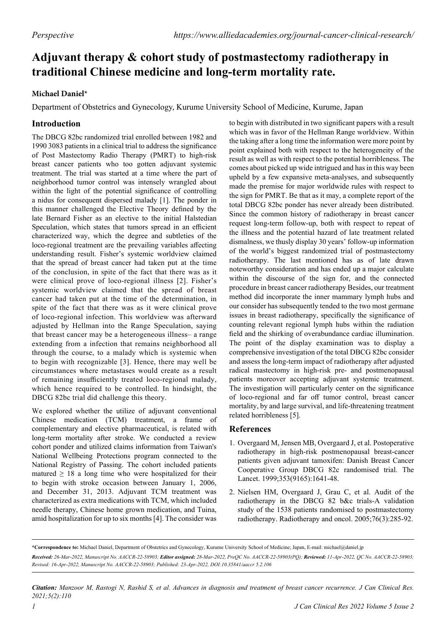## **Adjuvant therapy & cohort study of postmastectomy radiotherapy in traditional Chinese medicine and long-term mortality rate.**

## **Michael Daniel\***

Department of Obstetrics and Gynecology, Kurume University School of Medicine, Kurume, Japan

## **Introduction**

The DBCG 82bc randomized trial enrolled between 1982 and 1990 3083 patients in a clinical trial to address the significance of Post Mastectomy Radio Therapy (PMRT) to high-risk breast cancer patients who too gotten adjuvant systemic treatment. The trial was started at a time where the part of neighborhood tumor control was intensely wrangled about within the light of the potential significance of controlling a nidus for consequent dispersed malady [1]. The ponder in this manner challenged the Elective Theory defined by the late Bernard Fisher as an elective to the initial Halstedian Speculation, which states that tumors spread in an efficient characterized way, which the degree and subtleties of the loco-regional treatment are the prevailing variables affecting understanding result. Fisher's systemic worldview claimed that the spread of breast cancer had taken put at the time of the conclusion, in spite of the fact that there was as it were clinical prove of loco-regional illness [2]. Fisher's systemic worldview claimed that the spread of breast cancer had taken put at the time of the determination, in spite of the fact that there was as it were clinical prove of loco-regional infection. This worldview was afterward adjusted by Hellman into the Range Speculation, saying that breast cancer may be a heterogeneous illness– a range extending from a infection that remains neighborhood all through the course, to a malady which is systemic when to begin with recognizable [3]. Hence, there may well be circumstances where metastases would create as a result of remaining insufficiently treated loco-regional malady, which hence required to be controlled. In hindsight, the DBCG 82bc trial did challenge this theory.

We explored whether the utilize of adjuvant conventional Chinese medication (TCM) treatment, a frame of complementary and elective pharmaceutical, is related with long-term mortality after stroke. We conducted a review cohort ponder and utilized claims information from Taiwan's National Wellbeing Protections program connected to the National Registry of Passing. The cohort included patients matured  $\geq$  18 a long time who were hospitalized for their to begin with stroke occasion between January 1, 2006, and December 31, 2013. Adjuvant TCM treatment was characterized as extra medications with TCM, which included needle therapy, Chinese home grown medication, and Tuina, amid hospitalization for up to six months [4]. The consider was

to begin with distributed in two significant papers with a result which was in favor of the Hellman Range worldview. Within the taking after a long time the information were more point by point explained both with respect to the heterogeneity of the result as well as with respect to the potential horribleness. The comes about picked up wide intrigued and has in this way been upheld by a few expansive meta-analyses, and subsequently made the premise for major worldwide rules with respect to the sign for PMRT. Be that as it may, a complete report of the total DBCG 82bc ponder has never already been distributed. Since the common history of radiotherapy in breast cancer request long-term follow-up, both with respect to repeat of the illness and the potential hazard of late treatment related dismalness, we thusly display 30 years' follow-up information of the world's biggest randomized trial of postmastectomy radiotherapy. The last mentioned has as of late drawn noteworthy consideration and has ended up a major calculate within the discourse of the sign for, and the connected procedure in breast cancer radiotherapy Besides, our treatment method did incorporate the inner mammary lymph hubs and our consider has subsequently tended to the two most germane issues in breast radiotherapy, specifically the significance of counting relevant regional lymph hubs within the radiation field and the shirking of overabundance cardiac illumination. The point of the display examination was to display a comprehensive investigation of the total DBCG 82bc consider and assess the long-term impact of radiotherapy after adjusted radical mastectomy in high-risk pre- and postmenopausal patients moreover accepting adjuvant systemic treatment. The investigation will particularly center on the significance of loco-regional and far off tumor control, breast cancer mortality, by and large survival, and life-threatening treatment related horribleness [5].

## **References**

- 1. Overgaard M, Jensen MB, Overgaard J, et al. [Postoperative](https://www.sciencedirect.com/science/article/abs/pii/S0140673698092010)  [radiotherapy in high-risk postmenopausal breast-cancer](https://www.sciencedirect.com/science/article/abs/pii/S0140673698092010)  [patients given adjuvant tamoxifen: Danish Breast Cancer](https://www.sciencedirect.com/science/article/abs/pii/S0140673698092010)  [Cooperative Group DBCG 82c randomised trial.](https://www.sciencedirect.com/science/article/abs/pii/S0140673698092010) The Lancet. 1999;353(9165):1641-48.
- 2. Nielsen HM, Overgaard J, Grau C, et al. [Audit of the](https://www.sciencedirect.com/science/article/abs/pii/S0167814005003336)  [radiotherapy in the DBCG 82 b&c trials-A validation](https://www.sciencedirect.com/science/article/abs/pii/S0167814005003336)  [study of the 1538 patients randomised to postmastectomy](https://www.sciencedirect.com/science/article/abs/pii/S0167814005003336)  [radiotherapy](https://www.sciencedirect.com/science/article/abs/pii/S0167814005003336). Radiotherapy and oncol. 2005;76(3):285-92.

*Citation: Manzoor M, Rastogi N, Rashid S, et al. Advances in diagnosis and treatment of breast cancer recurrence. J Can Clinical Res. 2021;5(2):110*

**<sup>\*</sup>Correspondence to:** Michael Daniel, Department of Obstetrics and Gynecology, Kurume University School of Medicine; Japan, E-mail: michael@daniel.jp *Received: 26-Mar-2022, Manuscript No. AACCR-22-58903; Editor assigned: 28-Mar-2022, PreQC No. AACCR-22-58903(PQ); Reviewed: 11-Apr-2022, QC No. AACCR-22-58903; Revised: 16-Apr-2022, Manuscript No. AACCR-22-58903; Published: 23-Apr-2022, DOI:10.35841/aaccr 5.2.106*